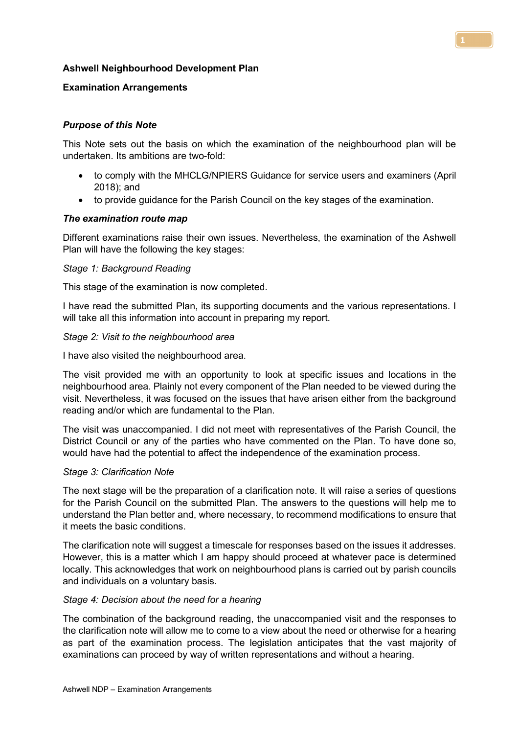# Ashwell Neighbourhood Development Plan

## Examination Arrangements

# Purpose of this Note

This Note sets out the basis on which the examination of the neighbourhood plan will be undertaken. Its ambitions are two-fold:

- to comply with the MHCLG/NPIERS Guidance for service users and examiners (April 2018); and
- to provide guidance for the Parish Council on the key stages of the examination.

#### The examination route map

Different examinations raise their own issues. Nevertheless, the examination of the Ashwell Plan will have the following the key stages:

#### Stage 1: Background Reading

This stage of the examination is now completed.

I have read the submitted Plan, its supporting documents and the various representations. I will take all this information into account in preparing my report.

#### Stage 2: Visit to the neighbourhood area

I have also visited the neighbourhood area.

The visit provided me with an opportunity to look at specific issues and locations in the neighbourhood area. Plainly not every component of the Plan needed to be viewed during the visit. Nevertheless, it was focused on the issues that have arisen either from the background reading and/or which are fundamental to the Plan.

The visit was unaccompanied. I did not meet with representatives of the Parish Council, the District Council or any of the parties who have commented on the Plan. To have done so, would have had the potential to affect the independence of the examination process.

#### Stage 3: Clarification Note

The next stage will be the preparation of a clarification note. It will raise a series of questions for the Parish Council on the submitted Plan. The answers to the questions will help me to understand the Plan better and, where necessary, to recommend modifications to ensure that it meets the basic conditions.

The clarification note will suggest a timescale for responses based on the issues it addresses. However, this is a matter which I am happy should proceed at whatever pace is determined locally. This acknowledges that work on neighbourhood plans is carried out by parish councils and individuals on a voluntary basis.

#### Stage 4: Decision about the need for a hearing

The combination of the background reading, the unaccompanied visit and the responses to the clarification note will allow me to come to a view about the need or otherwise for a hearing as part of the examination process. The legislation anticipates that the vast majority of examinations can proceed by way of written representations and without a hearing.